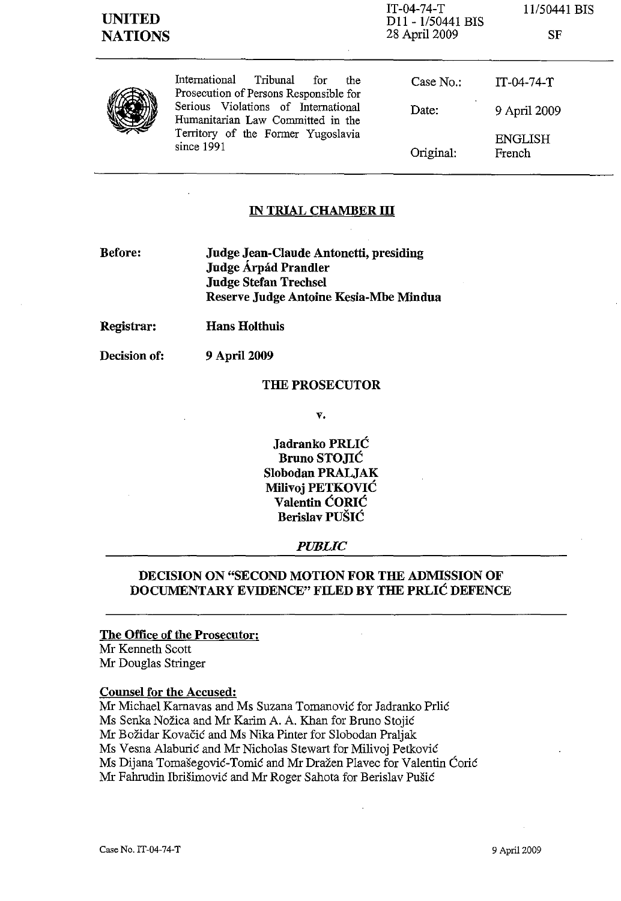| <b>UNITED</b><br><b>NATIONS</b> |                                                                                                                                                                                                                   | $IT-04-74-T$<br>D11 - 1/50441 BIS<br>28 April 2009 | 11/50441 BIS<br><b>SF</b> |
|---------------------------------|-------------------------------------------------------------------------------------------------------------------------------------------------------------------------------------------------------------------|----------------------------------------------------|---------------------------|
|                                 | International<br>Tribunal<br>for<br>the<br>Prosecution of Persons Responsible for<br>Serious Violations of International<br>Humanitarian Law Committed in the<br>Territory of the Former Yugoslavia<br>since 1991 | Case $No.$ :                                       | $IT-04-74-T$              |
|                                 |                                                                                                                                                                                                                   | Date:                                              | 9 April 2009              |
|                                 |                                                                                                                                                                                                                   | Original:                                          | <b>ENGLISH</b><br>French  |

#### IN TRIAL CHAMBER **III**

Before: Judge Jean-Claude Antonetti, presiding Judge Árpád Prandler Judge Stefan Trechsel Reserve Judge Antoine Kesia-Mbe Mindua

Registrar: Hans Holthuis

Decision of: 9 April 2009

#### THE PROSECUTOR

v.

Jadranko PRLIĆ Bruno STOJIĆ Slobodan PRALJAK Milivoj PETKOVIĆ Valentin ĆORIĆ Berislav PUŠIĆ

#### *PUBLIC*

# DECISION ON "SECOND MOTION FOR THE ADMISSION OF DOCUMENTARY EVIDENCE" FILED BY THE PRLIĆ DEFENCE

#### The Office of the Prosecutor:

Mr Kenneth Scott Mr Douglas Stringer

## Counsel for the Accused:

Mr Michael Karnavas and Ms Suzana Tomanović for Jadranko Prlić Ms Senka Nožica and Mr Karim A. A. Khan for Bruno Stojić Mr Božidar Kovačić and Ms Nika Pinter for Slobodan Praljak Ms Vesna Alaburić and Mr Nicholas Stewart for Milivoj Petković Ms Dijana Tomašegović-Tomić and Mr Dražen Plavec for Valentin Ćorić Mr Fahrudin lbrišimović and Mr Roger Sahota for Berislav Pušić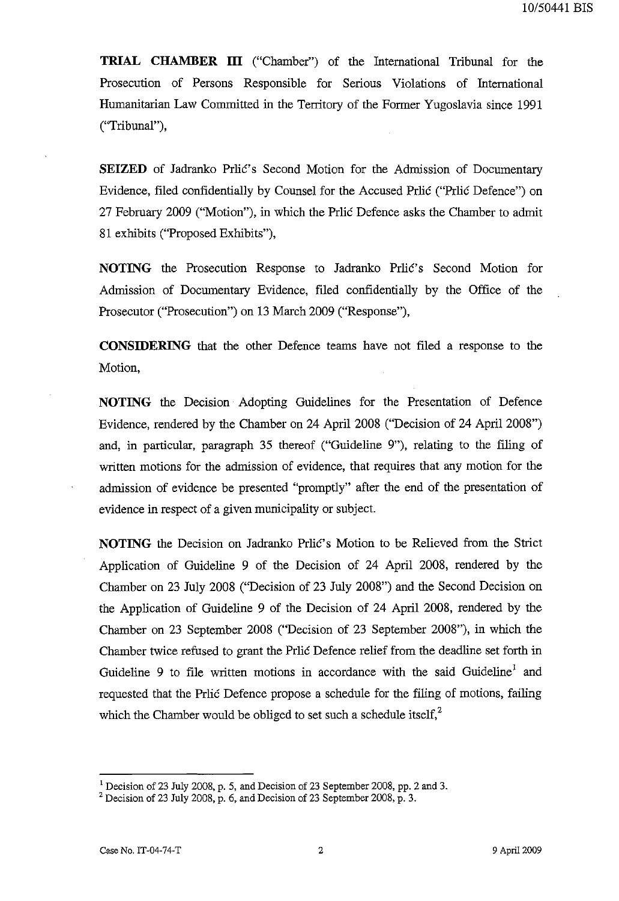**TRIAL CHAMBER ill** ("Chamber") of the International Tribunal for the Prosecution of Persons Responsible for Serious Violations of International Humanitarian Law Committed in the Territory of the Former Yugoslavia since 1991 ("Tribunal"),

**SEIZED** of Jadranko Prlić's Second Motion for the Admission of Documentary Evidence, filed confidentially by Counsel for the Accused Prlić ("Prlić Defence") on 27 February 2009 ("Motion"), in which the Prlić Defence asks the Chamber to admit 81 exhibits ("Proposed Exhibits"),

**NOTING** the Prosecution Response to Jadranko Prlić's Second Motion for Admission of Documentary Evidence, filed confidentially by the Office of the Prosecutor ("Prosecution") on 13 March 2009 ("Response"),

**CONSIDERING** that the other Defence teams have not filed a response to the Motion,

**NOTING** the Decision Adopting Guidelines for the Presentation of Defence Evidence, rendered by the Chamber on 24 April 2008 ("Decision of 24 April 2008") and, in particular, paragraph 35 thereof ("Guideline 9"), relating to the filing of written motions for the admission of evidence, that requires that any motion for the admission of evidence be presented "promptly" after the end of the presentation of evidence in respect of a given municipality or subject.

**NOTING** the Decision on Jadranko Prlić's Motion to be Relieved from the Strict Application of Guideline 9 of the Decision of 24 April 2008, rendered by the Chamber on 23 July 2008 ("Decision of 23 July 2008") and the Second Decision on the Application of Guideline 9 of the Decision of 24 April 2008, rendered by the Chamber on 23 September 2008 ("Decision of 23 September 2008"), in which the Chamber twice refused to grant the Prlić Defence relief from the deadline set forth in Guideline 9 to file written motions in accordance with the said Guideline<sup>1</sup> and requested that the Prlić Defence propose a schedule for the filing of motions, failing which the Chamber would be obliged to set such a schedule itself, $2^2$ 

<sup>&</sup>lt;sup>1</sup> Decision of 23 July 2008, p. 5, and Decision of 23 September 2008, pp. 2 and 3.

<sup>&</sup>lt;sup>2</sup> Decision of 23 July 2008, p. 6, and Decision of 23 September 2008, p. 3.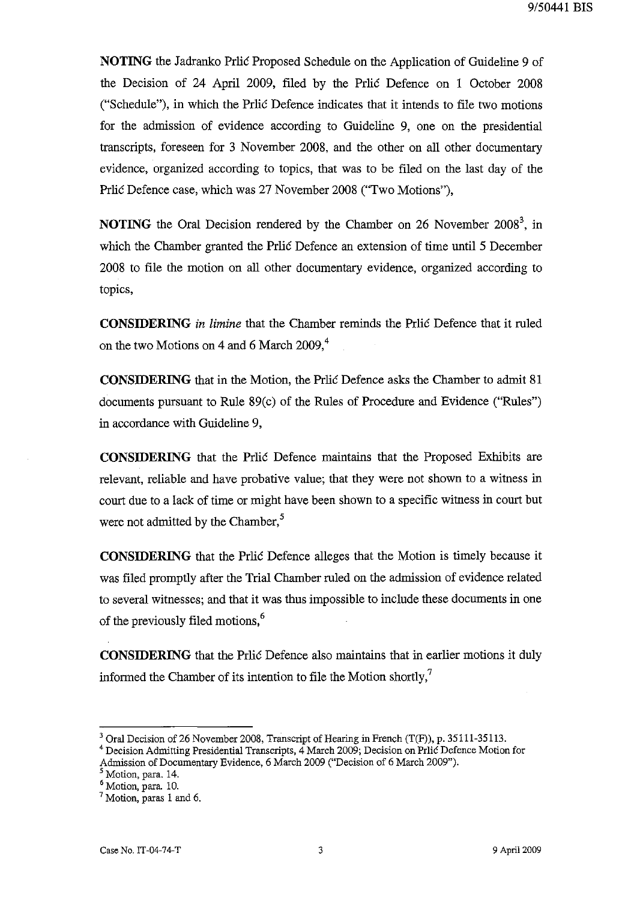**NOTING** the Jadranko Prlić Proposed Schedule on the Application of Guideline 9 of the Decision of 24 April 2009, filed by the Prlić Defence on 1 October 2008 ("Schedule"), in which the Prlić Defence indicates that it intends to file two motions for the admission of evidence according to Guideline 9, one on the presidentiai transcripts, foreseen for 3 November 2008, and the other on all other documentary evidence, organized according to topics, that was to be filed on the last day of the Prlić Defence case, which was 27 November 2008 ("Two Motions"),

**NOTING** the Oral Decision rendered by the Chamber on 26 November 2008<sup>3</sup>, in which the Chamber granted the Prlić Defence an extension of time until 5 December 2008 to file the motion on all other documentary evidence, organized according to topics,

**CONSIDERING** *in !imine* that the Chamber reminds the Prlić Defence that it ruled on the two Motions on 4 and 6 March  $2009<sub>1</sub><sup>4</sup>$ 

**CONSIDERING** that in the Motion, the Prlić Defence asks the Chamber to admit 81 documents pursuant to Rule 89(c) of the Rules of Procedure and Evidence ("Rules") in accordance with Guideline 9,

**CONSIDERING** that the Prlić Defence maintains that the Proposed Exhibits are relevant, reliable and have probative value; that they were not shown to a witness in court due to a lack of time or might have been shown to a specific witness in court but were not admitted by the Chamber,<sup>5</sup>

**CONSIDERING** that the Prlić Defence alleges that the Motion is timely because it was filed promptly after the Trial Chamber ruled on the admission of evidence related to several witnesses; and that it was thus impossible to include these documents in one of the previously filed motions,<sup>6</sup>

**CONSIDERING** that the Prlić Defence also maintains that in earlier motions it duly informed the Chamber of its intention to file the Motion shortly, $^7$ 

 $3$  Oral Decision of 26 November 2008, Transcript of Hearing in French (T(F)), p. 35111-35113.

<sup>4</sup> Decision Admitting PresidentiaI Transcripts, 4 March 2009; Decision on Prlić Defence Motion for Admission of Documentary Evidence, 6 March 2009 ("Decision of 6 March 2009").

 $<sup>5</sup>$  Motion, para. 14.</sup>

<sup>6</sup> Motion, para. 10.

 $7$  Motion, paras 1 and 6.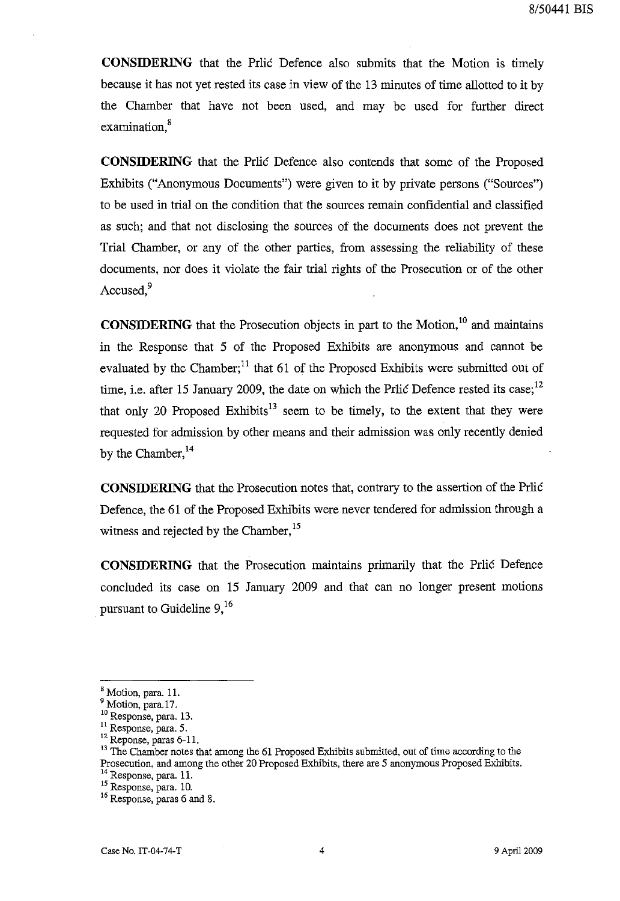**CONSIDERING** that the Prlić Defence also submits that the Motion is timely because it has not yet rested its case in view of the 13 minutes of time allotted to it by the Chamber that have not been used, and may be used for further direct examination,<sup>8</sup>

**CONSIDERING** that the Prlić Defence also contends that some of the Proposed Exhibits ("Anonymous Documents") were given to it by private persons ("Sources") to be used in trial on the condition that the sources remain confidential and classified as such; and that not disclosing the sources of the documents does not prevent the Trial Chamber, or any of the other parties, from assessing the reliability of these documents, nor does it violate the fair trial rights of the Prosecution or of the other Accused,<sup>9</sup>

**CONSIDERING** that the Prosecution objects in part to the Motion,<sup>10</sup> and maintains in the Response that 5 of the Proposed Exhibits are anonymous and cannot be evaluated by the Chamber; $^{11}$  that 61 of the Proposed Exhibits were submitted out of time, i.e. after 15 January 2009, the date on which the Prlić Defence rested its case;<sup>12</sup> that only 20 Proposed Exhibits<sup>13</sup> seem to be timely, to the extent that they were requested for admission by other means and their admission was only recently denied by the Chamber, <sup>14</sup>

**CONSIDERING** that the Prosecution notes that, contrary to the assertion of the Prlić Defence, the 61 of the Proposed Exhibits were never tendered for admission through a witness and rejected by the Chamber,<sup>15</sup>

**CONSIDERING** that the Prosecution maintains primarily that the Prlić Defence concluded its case on 15 January 2009 and that can no longer present motions pursuant to Guideline 9,<sup>16</sup>

Motion, para. 11.

<sup>&</sup>lt;sup>9</sup> Motion, para. 17.

<sup>&</sup>lt;sup>10</sup> Response, para. 13.

<sup>&</sup>lt;sup>11</sup> Response, para. 5.

<sup>&</sup>lt;sup>12</sup> Reponse, paras 6-11.

<sup>&</sup>lt;sup>13</sup> The Chamber notes that among the 61 Proposed Exhibits submitted, out of time according to the Prosecution, and among the other 20 Proposed Exhibits, there are 5 anonymous Proposed Exhibits.

<sup>&</sup>lt;sup>14</sup> Response, para. 11.

<sup>15</sup> Response, para. 10.

<sup>&</sup>lt;sup>16</sup> Response, paras 6 and 8.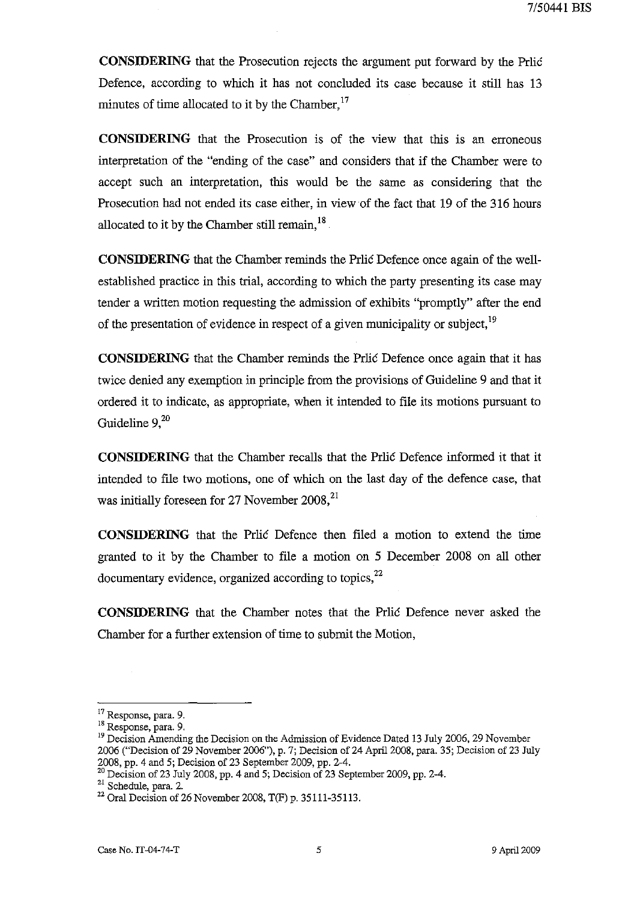**CONSIDERING** that the Prosecution rejects the argument put forward by the Prlić Defence, according to which it has not concluded its case because it still has 13 minutes of time allocated to it by the Chamber,  $17$ 

**CONSIDERING** that the Prosecution is of the view that this is an erroneous interpretation of the "ending of the case" and considers that if the Chamber were to accept such an interpretation, this would be the same as considering that the Prosecution had not ended its case either, in view of the fact that **19** of the 316 hours allocated to it by the Chamber still remain,  $^{18}$ .

**CONSIDERING** that the Chamber reminds the Prlić Defence once again of the wellestablished practice in this trial, according to which the party presenting its case may tender a written motion requesting the admission of exhibits "promptly" after the end of the presentation of evidence in respect of a given municipality or subject,  $19$ 

**CONSIDERING** that the Chamber reminds the Prlić Defence once again that it has twice denied any exemption in principle from the provisions of Guideline 9 and that it ordered it to indicate, as appropriate, when it intended to file its motions pursuant to Guideline  $9<sub>1</sub><sup>20</sup>$ 

**CONSIDERING** that the Chamber recalls that the Prlić Defence informed it that it intended to file two motions, one of which on the last day of the defence case, that was initially foreseen for 27 November 2008,<sup>21</sup>

**CONSIDERING** that the Prlić Defence then filed a motion to extend the time granted to it by the Chamber to file a motion on 5 December 2008 on all other documentary evidence, organized according to topics, $^{22}$ 

**CONSIDERING** that the Chamber notes that the Prlić Defence never asked the Chamber for a further extension of time to submit the Motion,

<sup>17</sup> Response, para. 9.

<sup>18</sup> Response, para. 9.

<sup>&</sup>lt;sup>19</sup> Decision Amending the Decision on the Admission of Evidence Dated 13 July 2006, 29 November 2006 ("Decision of 29 November 2006"), p. 7; Decision of 24 April 2008, para. 35; Decision of 23 July 2008, pp. 4 and 5; Decision of 23 September 2009, pp. 2-4.

 $20$  Decision of 23 July 2008, pp. 4 and 5; Decision of 23 September 2009, pp. 2-4.

<sup>21</sup> Schedule, para. 2.

 $22$  Oral Decision of 26 November 2008,  $T(F)$  p. 35111-35113.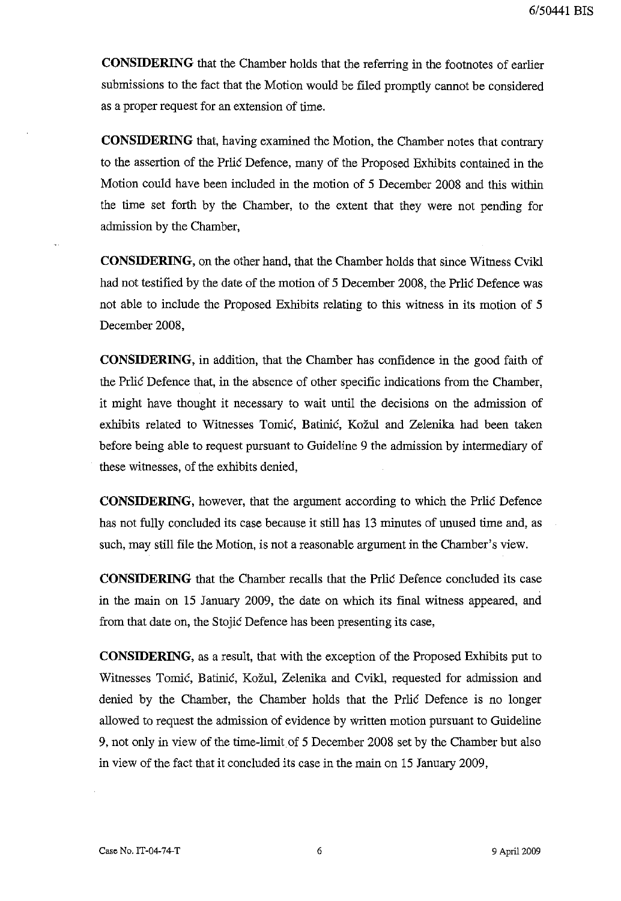**CONSIDERING** that the Chamber holds that the referring in the footnotes of earlier submissions to the fact that the Motion would be filed promptly cannot be considered as a proper request for an extension of time.

**CONSIDERING** that, having examined the Motion, the Chamber notes that contrary to the assertion of the Prlić Defence, many of the Proposed Exhibits contained in the Motion could have been included in the motion of 5 December 2008 and this within the time set forth by the Chamber, to the extent that they were not pending for admission by the Chamber,

**CONSIDERING,** on the other hand, that the Chamber holds that since Witness Cvikl had not testified by the date of the motion of 5 December 2008, the Prlić Defence was not able to include the Proposed Exhibits relating to this witness in its motion of 5 December 2008,

**CONSIDERING,** in addition, that the Chamber has confidence in the good faith of the Prlić Defence that, in the absence of other specific indications from the Chamber, it might have thought it necessary to wait until the decisions on the admission of exhibits related to Witnesses Tomić, Batinić, Kožul and Zelenika had been taken before being able to request pursuant to Guideline 9 the admission by intermediary of these witnesses, of the exhibits denied,

**CONSIDERING,** however, that the argument according to which the Prlić Defence has not fully concluded its case because it still has 13 minutes of unused time and, as such, may still file the Motion, is not a reasonable argument in the Chamber's view.

**CONSIDERING** that the Chamber recalls that the Prlić Defence concluded its case in the main on 15 January 2009, the date on which its final witness appeared, and from that date on, the Stojić Defence has been presenting its case,

**CONSIDERING,** as a result, that with the exception of the Proposed Exhibits put to Witnesses Tomić, Batinić, Kožul, Zelenika and Cvikl, requested for admission and denied by the Chamber, the Chamber holds that the Prlić Defence is no longer allowed to request the admission of evidence by written motion pursuant to Guideline 9, not only in view of the time-limit of 5 December 2008 set by the Chamber but also in view of the fact that it concluded its case in the main on 15 January 2009,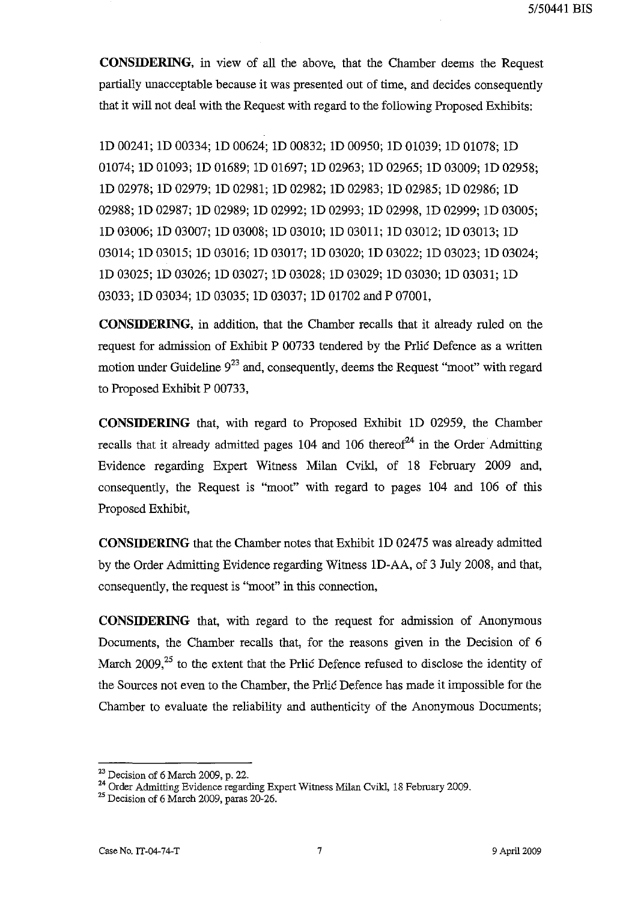**CONSIDERING,** in view of all the above, that the Chamber deems the Request partially unacceptab1e because it was presented out of time, and decides consequently that it will not deal with the Request with regard to the following Proposed Exhibits:

lD 00241; lD 00334; lD 00624; lD 00832; lD 00950; lD 01039; lD 01078; lD 01074; lD 01093; lD 01689; lD 01697; lD 02963; lD 02965; lD 03009; lD 02958; lD 02978; lD 02979; lD 02981; lD 02982; lD 02983; lD 02985; lD 02986; lD 02988; lD 02987; lD 02989; lD 02992; lD 02993; lD 02998, lD 02999; lD 03005; lD 03006; lD 03007; lD 03008; lD 03010; lD 03011; lD 03012; lD 03013; lD 03014; lD 03015; lD 03016; lD 03017; lD 03020; lD 03022; lD 03023; lD 03024; lD 03025; lD 03026; lD 03027; lD 03028; lD 03029; lD 03030; lD 03031; lD 03033; lD 03034; lD 03035; lD 03037; lD 01702 and P 07001,

**CONSIDERING,** in addition, that the Chamber reca1ls that it already ruled on the request for admission of Exhibit P 00733 tendered by the Prlić Defence as a written motion under Guideline  $9^{23}$  and, consequently, deems the Request "moot" with regard to Proposed Exhibit P 00733,

**CONSIDERING** that, with regard to Proposed Exhibit lD 02959, the Chamber recalls that it already admitted pages 104 and 106 thereof<sup>24</sup> in the Order Admitting Evidence regarding Expert Witness Milan Cvikl, of 18 February 2009 and, consequently, the Request is "moot" with regard to pages 104 and 106 of this Proposed Exhibit,

**CONSIDERING** that the Chamber notes that Exhibit **ID** 02475 was already admitted by the Order Admitting Evidence regarding Witness ID-AA, of 3 July 2008, and that, consequently, the request is "moot" in this counection,

**CONSIDERING** that, with regard to the request for admission of Anonymous Documents, the Chamber recalls that, for the reasons given in the Decision of 6 March  $2009$ ,<sup>25</sup> to the extent that the Prlić Defence refused to disclose the identity of the Sources not even to the Chamber, the Prlić Defence has made it impossible for the Chamber to evaluate the reliability and authenticity of the Anonymous Documents;

 $23$  Decision of 6 March 2009, p. 22.

<sup>&</sup>lt;sup>24</sup> Order Admitting Evidence regarding Expert Witness Milan Cvikl, 18 February 2009.

<sup>&</sup>lt;sup>25</sup> Decision of 6 March 2009, paras 20-26.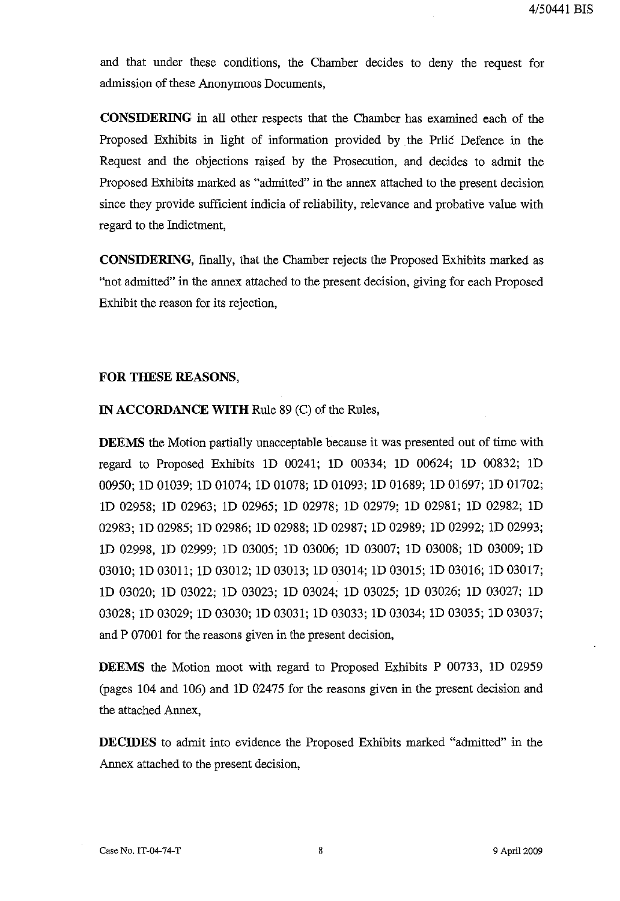and that under these conditions, the Chamber decides to deny the request for admission of these Anonymous Documents,

**CONSIDERING** in all other respects that the Chamber has examined each of the Proposed Exhibits in light of information provided by the Prlić Defence in the Request and the objections raised by the Prosecution, and decides to admit the Proposed Exhibits marked as "admitted" in the annex attached to the present decision since they provide sufficient indicia of reliability, relevance and probative value with regard to the Indictment,

**CONSIDERING,** finally, that the Chamber rejects the Proposed Exhibits marked as "not admitted" in the annex attached to the present decision, giving for each Proposed Exhibit the reason for its rejection,

## **FOR THESE REASONS,**

**IN ACCORDANCE WITH** Rule 89 (C) of the Rules,

**DEEMS** the Motion partially unacceptable because it was presented out of time with regard to Proposed Exhibits lD 00241; lD 00334; lD 00624; lD 00832; lD 00950; lD 01039; lD 01074; lD 01078; lD 01093; lD 01689; lD 01697; lD 01702; lD 02958; lD 02963; lD 02965; lD 02978; lD 02979; lD 02981; lD 02982; lD 02983; lD 02985; lD 02986; lD 02988; lD 02987; lD 02989; lD 02992; lD 02993; lD 02998, lD 02999; lD 03005; lD 03006; lD 03007; lD 03008; lD 03009; lD 03010; lD 03011; lD 03012; lD 03013; lD 03014; lD 03015; lD 03016; lD 03017; lD 03020; lD 03022; lD 03023; lD 03024; lD 03025; lD 03026; lD 03027; lD 03028; lD 03029; lD 03030; lD 03031; lD 03033; lD 03034; lD 03035; lD 03037; and P 07001 for the reasons given in the present decision,

**DEEMS** the Motion moot with regard to Proposed Exhibits P 00733, ID 02959 (pages 104 and 106) and ID 02475 for the reasons given in the present decision and the attached Annex,

**DECIDES** to admit into evidence the Proposed Exhibits marked "admitted" in the Annex attached to the present decision,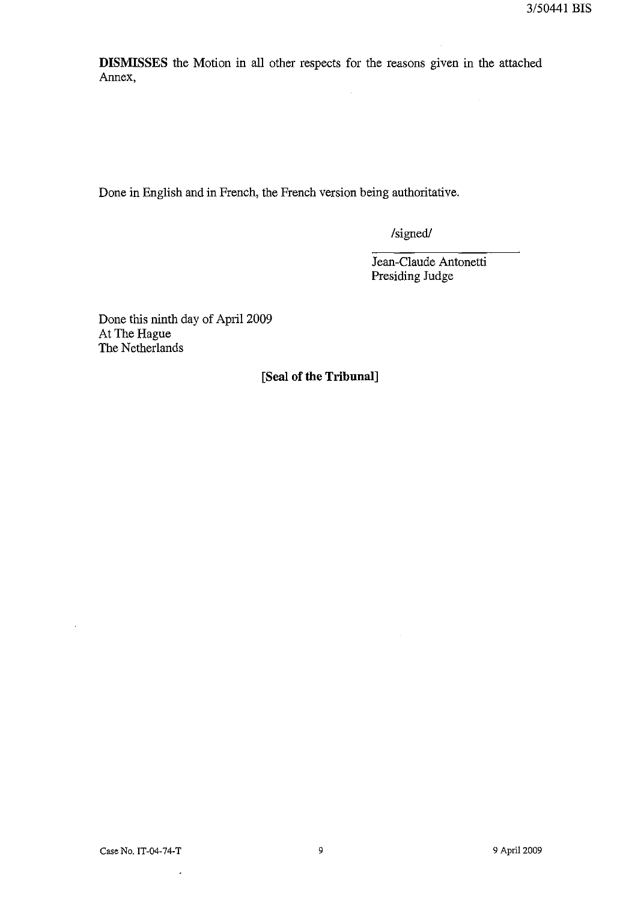**DISMISSES** the Motion in all other respects for the reasons given in the attached Annex,

Done in English and in French, the French version being authoritative.

/signed/

Jean-Claude Antonetti Presiding Judge

Done this ninth day of April 2009 At The Hague The Netherlands

**[Seal of the Tribunal]** 

 $\ddot{\phantom{1}}$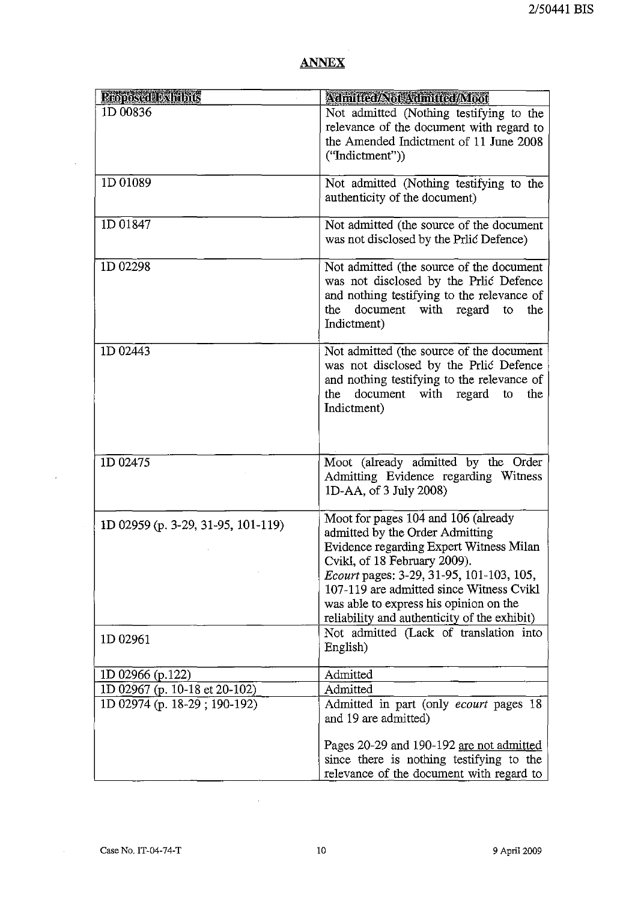# **ANNEX**

| <b>Proposed Exhibits</b>           | Admitted/Not Admitted/Moot                                                 |
|------------------------------------|----------------------------------------------------------------------------|
| 1D 00836                           | Not admitted (Nothing testifying to the                                    |
|                                    | relevance of the document with regard to                                   |
|                                    | the Amended Indictment of 11 June 2008                                     |
|                                    | ("Indictment")                                                             |
| 1D 01089                           | Not admitted (Nothing testifying to the                                    |
|                                    | authenticity of the document)                                              |
| 1D 01847                           | Not admitted (the source of the document                                   |
|                                    | was not disclosed by the Priic Defence)                                    |
| 1D 02298                           | Not admitted (the source of the document                                   |
|                                    | was not disclosed by the Prilic Defence                                    |
|                                    | and nothing testifying to the relevance of                                 |
|                                    | document with regard<br>the<br>the<br>to<br>Indictment)                    |
|                                    |                                                                            |
| 1D 02443                           | Not admitted (the source of the document                                   |
|                                    | was not disclosed by the Prlić Defence                                     |
|                                    | and nothing testifying to the relevance of                                 |
|                                    | document with regard to<br>the<br>the<br>Indictment)                       |
|                                    |                                                                            |
|                                    |                                                                            |
| 1D 02475                           | Moot (already admitted by the Order                                        |
|                                    | Admitting Evidence regarding Witness                                       |
|                                    | 1D-AA, of 3 July 2008)                                                     |
|                                    |                                                                            |
| 1D 02959 (p. 3-29, 31-95, 101-119) | Moot for pages 104 and 106 (already                                        |
|                                    | admitted by the Order Admitting<br>Evidence regarding Expert Witness Milan |
|                                    | Cvikl, of 18 February 2009).                                               |
|                                    | <i>Ecourt</i> pages: 3-29, 31-95, 101-103, 105,                            |
|                                    | 107-119 are admitted since Witness Cvikl                                   |
|                                    | was able to express his opinion on the                                     |
|                                    | reliability and authenticity of the exhibit)                               |
| 1D 02961                           | Not admitted (Lack of translation into                                     |
|                                    | English)                                                                   |
| 1D 02966 (p.122)                   | Admitted                                                                   |
| 1D 02967 (p. 10-18 et 20-102)      | Admitted                                                                   |
| 1D 02974 (p. 18-29; 190-192)       | Admitted in part (only <i>ecourt</i> pages 18<br>and 19 are admitted)      |
|                                    | Pages 20-29 and 190-192 are not admitted                                   |
|                                    | since there is nothing testifying to the                                   |
|                                    | relevance of the document with regard to                                   |

 $\mathcal{A}^{\text{out}}$ 

 $\sim 10^{11}$ 

 $\sim 10^{11}$